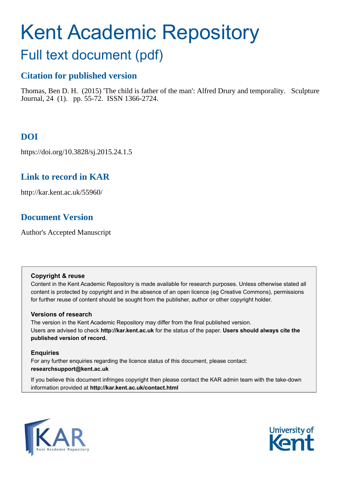# Kent Academic Repository

## Full text document (pdf)

## **Citation for published version**

Thomas, Ben D. H. (2015) 'The child is father of the man': Alfred Drury and temporality. Sculpture Journal, 24 (1). pp. 55-72. ISSN 1366-2724.

## **DOI**

https://doi.org/10.3828/sj.2015.24.1.5

## **Link to record in KAR**

http://kar.kent.ac.uk/55960/

## **Document Version**

Author's Accepted Manuscript

#### **Copyright & reuse**

Content in the Kent Academic Repository is made available for research purposes. Unless otherwise stated all content is protected by copyright and in the absence of an open licence (eg Creative Commons), permissions for further reuse of content should be sought from the publisher, author or other copyright holder.

#### **Versions of research**

The version in the Kent Academic Repository may differ from the final published version. Users are advised to check **http://kar.kent.ac.uk** for the status of the paper. **Users should always cite the published version of record.**

#### **Enquiries**

For any further enquiries regarding the licence status of this document, please contact: **researchsupport@kent.ac.uk**

If you believe this document infringes copyright then please contact the KAR admin team with the take-down information provided at **http://kar.kent.ac.uk/contact.html**



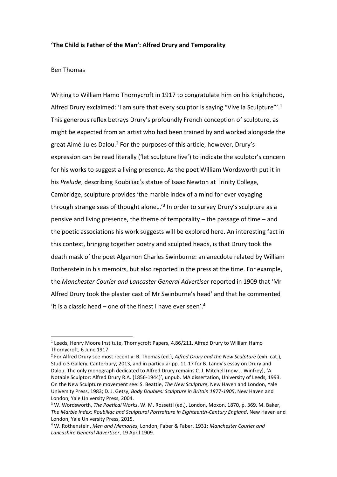#### 'The Child is Father of the Man': Alfred Drury and Temporality

#### Ben Thomas

 $\overline{a}$ 

Writing to William Hamo Thornycroft in 1917 to congratulate him on his knighthood, Alfred Drury exclaimed: 'I am sure that every sculptor is saying "Vive la Sculpture"'.<sup>1</sup> This generous reflex betrays Drury's profoundly French conception of sculpture, as might be expected from an artist who had been trained by and worked alongside the great Aimé-Jules Dalou.<sup>2</sup> For the purposes of this article, however, Drury's expression can be read literally ('let sculpture live') to indicate the sculptor's concern for his works to suggest a living presence. As the poet William Wordsworth put it in his Prelude, describing Roubiliac's statue of Isaac Newton at Trinity College, Cambridge, sculpture provides 'the marble index of a mind for ever voyaging through strange seas of thought alone...'<sup>3</sup> In order to survey Drury's sculpture as a pensive and living presence, the theme of temporality  $-$  the passage of time  $-$  and the poetic associations his work suggests will be explored here. An interesting fact in this context, bringing together poetry and sculpted heads, is that Drury took the death mask of the poet Algernon Charles Swinburne: an anecdote related by William Rothenstein in his memoirs, but also reported in the press at the time. For example, the *Manchester Courier and Lancaster General Advertiser* reported in 1909 that 'Mr Alfred Drury took the plaster cast of Mr Swinburne's head' and that he commented 'it is a classic head  $-$  one of the finest I have ever seen'.<sup>4</sup>

<sup>&</sup>lt;sup>1</sup> Leeds, Henry Moore Institute, Thornycroft Papers, 4.86/211, Alfred Drury to William Hamo Thornycroft, 6 June 1917.

<sup>2</sup> For Alfred Drury see most recently: B. Thomas (ed.), *Alfred Drury and the New Sculpture* (exh. cat.), Studio 3 Gallery, Canterbury, 2013, and in particular pp. 11-17 for B. Landy's essay on Drury and Dalou. The only monograph dedicated to Alfred Drury remains C. J. Mitchell (now J. Winfrey), 'A Notable Sculptor: Alfred Drury R.A. (1856-1944)', unpub. MA dissertation, University of Leeds, 1993. On the New Sculpture movement see: S. Beattie, *The New Sculpture*, New Haven and London, Yale University Press, 1983; D. J. Getsy, *Body Doubles: Sculpture in Britain 1877-1905*, New Haven and London, Yale University Press, 2004.

<sup>3</sup> W. Wordsworth, *The Poetical Works*, W. M. Rossetti (ed.), London, Moxon, 1870, p. 369. M. Baker, *The Marble Index: Roubiliac and Sculptural Portraiture in Eighteenth-Century England*, New Haven and London, Yale University Press, 2015.

<sup>4</sup> W. Rothenstein, *Men and Memories*, London, Faber & Faber, 1931; *Manchester Courier and Lancashire General Advertiser*, 19 April 1909.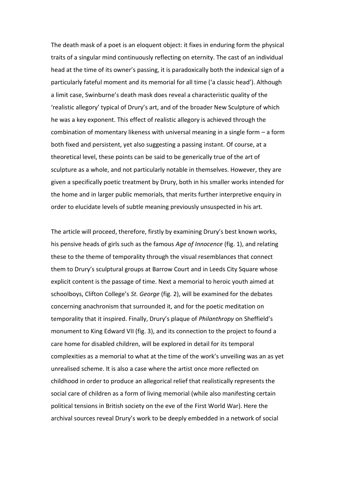The death mask of a poet is an eloquent object: it fixes in enduring form the physical traits of a singular mind continuously reflecting on eternity. The cast of an individual head at the time of its owner's passing, it is paradoxically both the indexical sign of a particularly fateful moment and its memorial for all time ('a classic head'). Although a limit case, Swinburne's death mask does reveal a characteristic quality of the 'realistic allegory' typical of Drury's art, and of the broader New Sculpture of which he was a key exponent. This effect of realistic allegory is achieved through the combination of momentary likeness with universal meaning in a single form  $-$  a form both fixed and persistent, yet also suggesting a passing instant. Of course, at a theoretical level, these points can be said to be generically true of the art of sculpture as a whole, and not particularly notable in themselves. However, they are given a specifically poetic treatment by Drury, both in his smaller works intended for the home and in larger public memorials, that merits further interpretive enquiry in order to elucidate levels of subtle meaning previously unsuspected in his art.

The article will proceed, therefore, firstly by examining Drury's best known works, his pensive heads of girls such as the famous *Age of Innocence* (fig. 1), and relating these to the theme of temporality through the visual resemblances that connect them to Drury's sculptural groups at Barrow Court and in Leeds City Square whose explicit content is the passage of time. Next a memorial to heroic youth aimed at schoolboys, Clifton College's St. George (fig. 2), will be examined for the debates concerning anachronism that surrounded it, and for the poetic meditation on temporality that it inspired. Finally, Drury's plaque of *Philanthropy* on Sheffield's monument to King Edward VII (fig. 3), and its connection to the project to found a care home for disabled children, will be explored in detail for its temporal complexities as a memorial to what at the time of the work's unveiling was an as yet unrealised scheme. It is also a case where the artist once more reflected on childhood in order to produce an allegorical relief that realistically represents the social care of children as a form of living memorial (while also manifesting certain political tensions in British society on the eve of the First World War). Here the archival sources reveal Drury's work to be deeply embedded in a network of social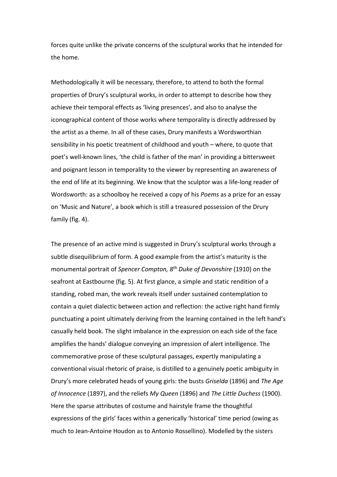forces quite unlike the private concerns of the sculptural works that he intended for the home.

Methodologically it will be necessary, therefore, to attend to both the formal properties of Drury's sculptural works, in order to attempt to describe how they achieve their temporal effects as 'living presences', and also to analyse the iconographical content of those works where temporality is directly addressed by the artist as a theme. In all of these cases, Drury manifests a Wordsworthian sensibility in his poetic treatment of childhood and youth – where, to quote that poet's well-known lines, 'the child is father of the man' in providing a bittersweet and poignant lesson in temporality to the viewer by representing an awareness of the end of life at its beginning. We know that the sculptor was a life-long reader of Wordsworth: as a schoolboy he received a copy of his *Poems* as a prize for an essay on 'Music and Nature', a book which is still a treasured possession of the Drury family (fig. 4).

The presence of an active mind is suggested in Drury's sculptural works through a subtle disequilibrium of form. A good example from the artist's maturity is the monumental portrait of *Spencer Compton, 8th Duke of Devonshire* (1910) on the seafront at Eastbourne (fig. 5). At first glance, a simple and static rendition of a standing, robed man, the work reveals itself under sustained contemplation to contain a quiet dialectic between action and reflection: the active right hand firmly punctuating a point ultimately deriving from the learning contained in the left hand's casually held book. The slight imbalance in the expression on each side of the face amplifies the hands' dialogue conveying an impression of alert intelligence. The commemorative prose of these sculptural passages, expertly manipulating a conventional visual rhetoric of praise, is distilled to a genuinely poetic ambiguity in Drury's more celebrated heads of young girls: the busts Griselda (1896) and *The Age of Innocence* (1897), and the reliefs *My Queen* (1896) and *The Little Duchess* (1900). Here the sparse attributes of costume and hairstyle frame the thoughtful expressions of the girls' faces within a generically 'historical' time period (owing as much to Jean-Antoine Houdon as to Antonio Rossellino). Modelled by the sisters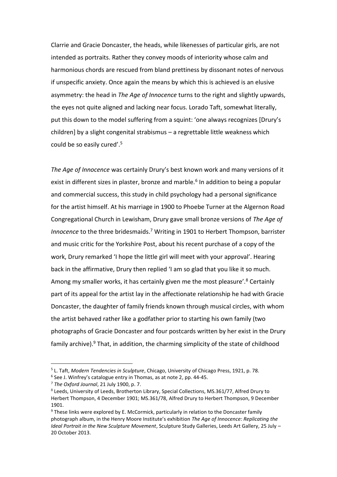Clarrie and Gracie Doncaster, the heads, while likenesses of particular girls, are not intended as portraits. Rather they convey moods of interiority whose calm and harmonious chords are rescued from bland prettiness by dissonant notes of nervous if unspecific anxiety. Once again the means by which this is achieved is an elusive asymmetry: the head in *The Age of Innocence* turns to the right and slightly upwards, the eyes not quite aligned and lacking near focus. Lorado Taft, somewhat literally, put this down to the model suffering from a squint: 'one always recognizes [Drury's children] by a slight congenital strabismus  $-$  a regrettable little weakness which could be so easily cured'.<sup>5</sup>

*The Age of Innocence* was certainly Drury's best known work and many versions of it exist in different sizes in plaster, bronze and marble.<sup>6</sup> In addition to being a popular and commercial success, this study in child psychology had a personal significance for the artist himself. At his marriage in 1900 to Phoebe Turner at the Algernon Road Congregational Church in Lewisham, Drury gave small bronze versions of *The Age of*  Innocence to the three bridesmaids.<sup>7</sup> Writing in 1901 to Herbert Thompson, barrister and music critic for the Yorkshire Post, about his recent purchase of a copy of the work, Drury remarked 'I hope the little girl will meet with your approval'. Hearing back in the affirmative, Drury then replied 'I am so glad that you like it so much. Among my smaller works, it has certainly given me the most pleasure'.<sup>8</sup> Certainly part of its appeal for the artist lay in the affectionate relationship he had with Gracie Doncaster, the daughter of family friends known through musical circles, with whom the artist behaved rather like a godfather prior to starting his own family (two photographs of Gracie Doncaster and four postcards written by her exist in the Drury family archive).<sup>9</sup> That, in addition, the charming simplicity of the state of childhood

<sup>5</sup> L. Taft, *Modern Tendencies in Sculpture*, Chicago, University of Chicago Press, 1921, p. 78.

 $6$  See J. Winfrey's catalogue entry in Thomas, as at note 2, pp. 44-45.

<sup>7</sup> *The Oxford Journal*, 21 July 1900, p. 7.

<sup>8</sup> Leeds, University of Leeds, Brotherton Library, Special Collections, MS.361/77, Alfred Drury to Herbert Thompson, 4 December 1901; MS.361/78, Alfred Drury to Herbert Thompson, 9 December 1901.

<sup>&</sup>lt;sup>9</sup> These links were explored by E. McCormick, particularly in relation to the Doncaster family photograph album, in the Henry Moore Institute's exhibition The Age of Innocence: Replicating the *Ideal Portrait in the New Sculpture Movement*, Sculpture Study Galleries, Leeds Art Gallery, 25 July -20 October 2013.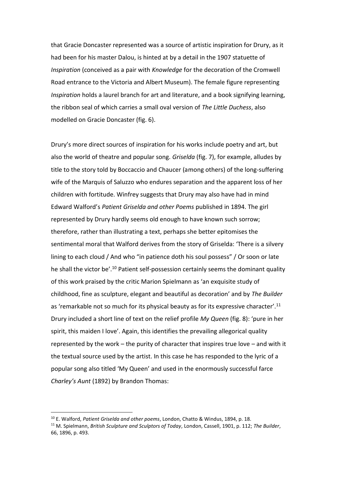that Gracie Doncaster represented was a source of artistic inspiration for Drury, as it had been for his master Dalou, is hinted at by a detail in the 1907 statuette of *Inspiration* (conceived as a pair with *Knowledge* for the decoration of the Cromwell Road entrance to the Victoria and Albert Museum). The female figure representing *Inspiration* holds a laurel branch for art and literature, and a book signifying learning, the ribbon seal of which carries a small oval version of *The Little Duchess*, also modelled on Gracie Doncaster (fig. 6).

Drury's more direct sources of inspiration for his works include poetry and art, but also the world of theatre and popular song. *Griselda* (fig. 7), for example, alludes by title to the story told by Boccaccio and Chaucer (among others) of the long-suffering wife of the Marquis of Saluzzo who endures separation and the apparent loss of her children with fortitude. Winfrey suggests that Drury may also have had in mind Edward Walford's Patient Griselda and other Poems published in 1894. The girl represented by Drury hardly seems old enough to have known such sorrow; therefore, rather than illustrating a text, perhaps she better epitomises the sentimental moral that Walford derives from the story of Griselda: 'There is a silvery lining to each cloud / And who "in patience doth his soul possess" / Or soon or late he shall the victor be'.<sup>10</sup> Patient self-possession certainly seems the dominant quality of this work praised by the critic Marion Spielmann as 'an exquisite study of childhood, fine as sculpture, elegant and beautiful as decoration' and by The Builder as 'remarkable not so much for its physical beauty as for its expressive character'.<sup>11</sup> Drury included a short line of text on the relief profile *My Queen* (fig. 8): 'pure in her spirit, this maiden I love'. Again, this identifies the prevailing allegorical quality represented by the work  $-$  the purity of character that inspires true love  $-$  and with it the textual source used by the artist. In this case he has responded to the lyric of a popular song also titled 'My Queen' and used in the enormously successful farce *Charley's Aunt* (1892) by Brandon Thomas:

<sup>10</sup> E. Walford, *Patient Griselda and other poems*, London, Chatto & Windus, 1894, p. 18.

<sup>11</sup> M. Spielmann, *British Sculpture and Sculptors of Today*, London, Cassell, 1901, p. 112; *The Builder*, 66, 1896, p. 493.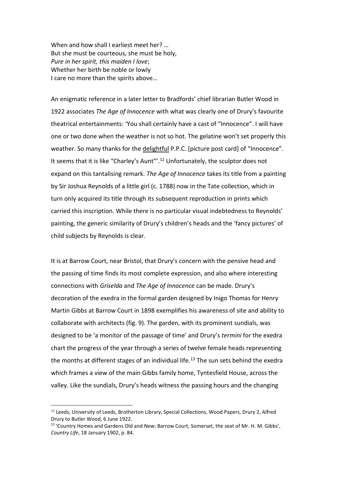When and how shall I earliest meet her? ... But she must be courteous, she must be holy, *Pure in her spirit, this maiden I love*; Whether her birth be noble or lowly I care no more than the spirits above...

An enigmatic reference in a later letter to Bradfords' chief librarian Butler Wood in 1922 associates *The Age of Innocence* with what was clearly one of Drury's favourite theatrical entertainments: 'You shall certainly have a cast of "Innocence". I will have one or two done when the weather is not so hot. The gelatine won't set properly this weather. So many thanks for the delightful P.P.C. [picture post card] of "Innocence". It seems that it is like "Charley's Aunt"'.<sup>12</sup> Unfortunately, the sculptor does not expand on this tantalising remark. *The Age of Innocence* takes its title from a painting by Sir Joshua Reynolds of a little girl (c. 1788) now in the Tate collection, which in turn only acquired its title through its subsequent reproduction in prints which carried this inscription. While there is no particular visual indebtedness to Reynolds' painting, the generic similarity of Drury's children's heads and the 'fancy pictures' of child subjects by Reynolds is clear.

It is at Barrow Court, near Bristol, that Drury's concern with the pensive head and the passing of time finds its most complete expression, and also where interesting connections with *Griselda* and *The Age of Innocence* can be made. Drury's decoration of the exedra in the formal garden designed by Inigo Thomas for Henry Martin Gibbs at Barrow Court in 1898 exemplifies his awareness of site and ability to collaborate with architects (fig. 9). The garden, with its prominent sundials, was designed to be 'a monitor of the passage of time' and Drury's *termini* for the exedra chart the progress of the year through a series of twelve female heads representing the months at different stages of an individual life.<sup>13</sup> The sun sets behind the exedra which frames a view of the main Gibbs family home, Tyntesfield House, across the valley. Like the sundials, Drury's heads witness the passing hours and the changing

<sup>&</sup>lt;sup>12</sup> Leeds, University of Leeds, Brotherton Library, Special Collections, Wood Papers, Drury 2, Alfred Drury to Butler Wood, 6 June 1922.

<sup>13 &#</sup>x27;Country Homes and Gardens Old and New: Barrow Court, Somerset, the seat of Mr. H. M. Gibbs', *Country Life*, 18 January 1902, p. 84.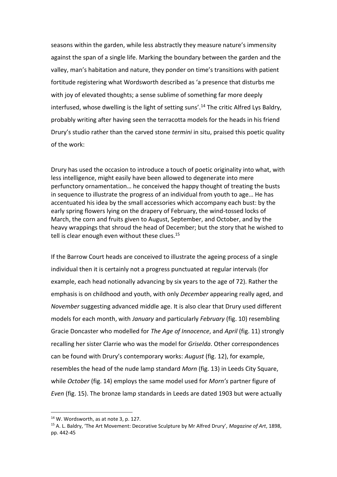seasons within the garden, while less abstractly they measure nature's immensity against the span of a single life. Marking the boundary between the garden and the valley, man's habitation and nature, they ponder on time's transitions with patient fortitude registering what Wordsworth described as 'a presence that disturbs me with joy of elevated thoughts; a sense sublime of something far more deeply interfused, whose dwelling is the light of setting suns'.<sup>14</sup> The critic Alfred Lys Baldry, probably writing after having seen the terracotta models for the heads in his friend Drury's studio rather than the carved stone *termini* in situ, praised this poetic quality of the work:

Drury has used the occasion to introduce a touch of poetic originality into what, with less intelligence, might easily have been allowed to degenerate into mere perfunctory ornamentation... he conceived the happy thought of treating the busts in sequence to illustrate the progress of an individual from youth to age... He has accentuated his idea by the small accessories which accompany each bust: by the early spring flowers lying on the drapery of February, the wind-tossed locks of March, the corn and fruits given to August, September, and October, and by the heavy wrappings that shroud the head of December; but the story that he wished to tell is clear enough even without these clues.<sup>15</sup>

If the Barrow Court heads are conceived to illustrate the ageing process of a single individual then it is certainly not a progress punctuated at regular intervals (for example, each head notionally advancing by six years to the age of 72). Rather the emphasis is on childhood and youth, with only *December* appearing really aged, and *November* suggesting advanced middle age. It is also clear that Drury used different models for each month, with *January* and particularly *February* (fig. 10) resembling Gracie Doncaster who modelled for *The Age of Innocence*, and *April* (fig. 11) strongly recalling her sister Clarrie who was the model for *Griselda*. Other correspondences can be found with Drury's contemporary works: August (fig. 12), for example, resembles the head of the nude lamp standard *Morn* (fig. 13) in Leeds City Square, while *October* (fig. 14) employs the same model used for *Morn's* partner figure of *Even* (fig. 15). The bronze lamp standards in Leeds are dated 1903 but were actually

 $14$  W. Wordsworth, as at note 3, p. 127.

<sup>&</sup>lt;sup>15</sup> A. L. Baldry, 'The Art Movement: Decorative Sculpture by Mr Alfred Drury', *Magazine of Art*, 1898, pp. 442-45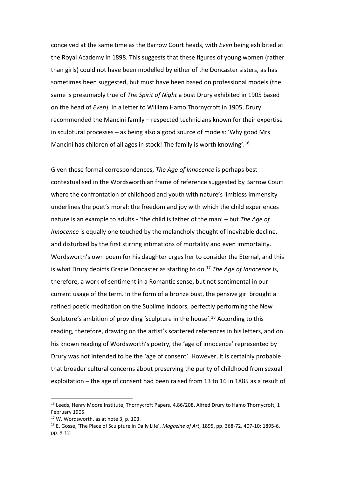conceived at the same time as the Barrow Court heads, with *Even* being exhibited at the Royal Academy in 1898. This suggests that these figures of young women (rather than girls) could not have been modelled by either of the Doncaster sisters, as has sometimes been suggested, but must have been based on professional models (the same is presumably true of *The Spirit of Night* a bust Drury exhibited in 1905 based on the head of *Even*). In a letter to William Hamo Thornycroft in 1905, Drury recommended the Mancini family - respected technicians known for their expertise in sculptural processes – as being also a good source of models: 'Why good Mrs Mancini has children of all ages in stock! The family is worth knowing'.<sup>16</sup>

Given these formal correspondences, *The Age of Innocence* is perhaps best contextualised in the Wordsworthian frame of reference suggested by Barrow Court where the confrontation of childhood and youth with nature's limitless immensity underlines the poet's moral: the freedom and joy with which the child experiences nature is an example to adults - 'the child is father of the man' – but *The Age of Innocence* is equally one touched by the melancholy thought of inevitable decline, and disturbed by the first stirring intimations of mortality and even immortality. Wordsworth's own poem for his daughter urges her to consider the Eternal, and this is what Drury depicts Gracie Doncaster as starting to do.<sup>17</sup> The Age of Innocence is, therefore, a work of sentiment in a Romantic sense, but not sentimental in our current usage of the term. In the form of a bronze bust, the pensive girl brought a refined poetic meditation on the Sublime indoors, perfectly performing the New Sculpture's ambition of providing 'sculpture in the house'.<sup>18</sup> According to this reading, therefore, drawing on the artist's scattered references in his letters, and on his known reading of Wordsworth's poetry, the 'age of innocence' represented by Drury was not intended to be the 'age of consent'. However, it is certainly probable that broader cultural concerns about preserving the purity of childhood from sexual exploitation  $-$  the age of consent had been raised from 13 to 16 in 1885 as a result of

 $17$  W. Wordsworth, as at note 3, p. 103.

<sup>&</sup>lt;sup>16</sup> Leeds, Henry Moore Institute, Thornycroft Papers, 4.86/208, Alfred Drury to Hamo Thornycroft, 1 February 1905.

<sup>&</sup>lt;sup>18</sup> E. Gosse, 'The Place of Sculpture in Daily Life', Magazine of Art, 1895, pp. 368-72, 407-10; 1895-6, pp. 9-12.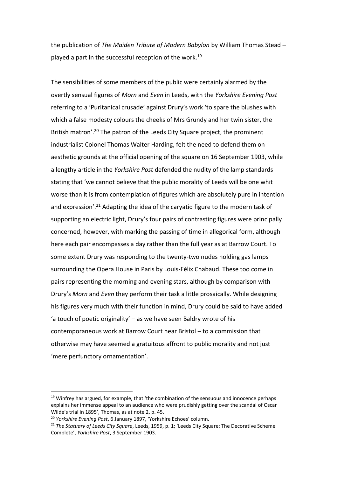the publication of *The Maiden Tribute of Modern Babylon* by William Thomas Stead played a part in the successful reception of the work. 19

The sensibilities of some members of the public were certainly alarmed by the overtly sensual figures of *Morn* and *Even* in Leeds, with the *Yorkshire Evening Post* referring to a 'Puritanical crusade' against Drury's work 'to spare the blushes with which a false modesty colours the cheeks of Mrs Grundy and her twin sister, the British matron'.<sup>20</sup> The patron of the Leeds City Square project, the prominent industrialist Colonel Thomas Walter Harding, felt the need to defend them on aesthetic grounds at the official opening of the square on 16 September 1903, while a lengthy article in the *Yorkshire Post* defended the nudity of the lamp standards stating that 'we cannot believe that the public morality of Leeds will be one whit worse than it is from contemplation of figures which are absolutely pure in intention and expression'.<sup>21</sup> Adapting the idea of the caryatid figure to the modern task of supporting an electric light, Drury's four pairs of contrasting figures were principally concerned, however, with marking the passing of time in allegorical form, although here each pair encompasses a day rather than the full year as at Barrow Court. To some extent Drury was responding to the twenty-two nudes holding gas lamps surrounding the Opera House in Paris by Louis-FÈlix Chabaud. These too come in pairs representing the morning and evening stars, although by comparison with Drury's Morn and *Even* they perform their task a little prosaically. While designing his figures very much with their function in mind, Drury could be said to have added 'a touch of poetic originality' - as we have seen Baldry wrote of his contemporaneous work at Barrow Court near Bristol - to a commission that otherwise may have seemed a gratuitous affront to public morality and not just 'mere perfunctory ornamentation'.

<sup>&</sup>lt;sup>19</sup> Winfrey has argued, for example, that 'the combination of the sensuous and innocence perhaps explains her immense appeal to an audience who were prudishly getting over the scandal of Oscar Wilde's trial in 1895', Thomas, as at note 2, p. 45.

<sup>&</sup>lt;sup>20</sup> *Yorkshire Evening Post*, 6 January 1897, 'Yorkshire Echoes' column.

<sup>&</sup>lt;sup>21</sup> The Statuary of Leeds City Square, Leeds, 1959, p. 1; 'Leeds City Square: The Decorative Scheme Complete', Yorkshire Post, 3 September 1903.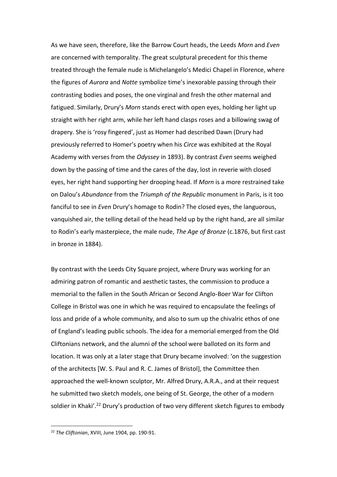As we have seen, therefore, like the Barrow Court heads, the Leeds *Morn* and *Even* are concerned with temporality. The great sculptural precedent for this theme treated through the female nude is Michelangelo's Medici Chapel in Florence, where the figures of *Aurora* and *Notte* symbolize time's inexorable passing through their contrasting bodies and poses, the one virginal and fresh the other maternal and fatigued. Similarly, Drury's Morn stands erect with open eyes, holding her light up straight with her right arm, while her left hand clasps roses and a billowing swag of drapery. She is 'rosy fingered', just as Homer had described Dawn (Drury had previously referred to Homer's poetry when his *Circe* was exhibited at the Royal Academy with verses from the *Odyssey* in 1893). By contrast *Even* seems weighed down by the passing of time and the cares of the day, lost in reverie with closed eyes, her right hand supporting her drooping head. If *Morn* is a more restrained take on Dalou's *Abundance* from the *Triumph of the Republic* monument in Paris, is it too fanciful to see in *Even* Drury's homage to Rodin? The closed eyes, the languorous, vanquished air, the telling detail of the head held up by the right hand, are all similar to Rodin's early masterpiece, the male nude, The Age of Bronze (c.1876, but first cast in bronze in 1884).

By contrast with the Leeds City Square project, where Drury was working for an admiring patron of romantic and aesthetic tastes, the commission to produce a memorial to the fallen in the South African or Second Anglo-Boer War for Clifton College in Bristol was one in which he was required to encapsulate the feelings of loss and pride of a whole community, and also to sum up the chivalric ethos of one of England's leading public schools. The idea for a memorial emerged from the Old Cliftonians network, and the alumni of the school were balloted on its form and location. It was only at a later stage that Drury became involved: 'on the suggestion of the architects [W. S. Paul and R. C. James of Bristol], the Committee then approached the well-known sculptor, Mr. Alfred Drury, A.R.A., and at their request he submitted two sketch models, one being of St. George, the other of a modern soldier in Khaki'.<sup>22</sup> Drury's production of two very different sketch figures to embody

<sup>22</sup> *The Cliftonian*, XVIII, June 1904, pp. 190-91.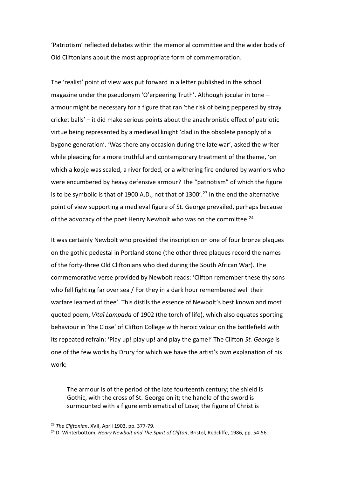'Patriotism' reflected debates within the memorial committee and the wider body of Old Cliftonians about the most appropriate form of commemoration.

The 'realist' point of view was put forward in a letter published in the school magazine under the pseudonym 'O'erpeering Truth'. Although jocular in tone armour might be necessary for a figure that ran 'the risk of being peppered by stray  $i$  cricket balls'  $-$  it did make serious points about the anachronistic effect of patriotic virtue being represented by a medieval knight 'clad in the obsolete panoply of a bygone generation'. 'Was there any occasion during the late war', asked the writer while pleading for a more truthful and contemporary treatment of the theme, 'on which a kopje was scaled, a river forded, or a withering fire endured by warriors who were encumbered by heavy defensive armour? The "patriotism" of which the figure is to be symbolic is that of 1900 A.D., not that of 1300'.<sup>23</sup> In the end the alternative point of view supporting a medieval figure of St. George prevailed, perhaps because of the advocacy of the poet Henry Newbolt who was on the committee. $^{24}$ 

It was certainly Newbolt who provided the inscription on one of four bronze plaques on the gothic pedestal in Portland stone (the other three plaques record the names of the forty-three Old Cliftonians who died during the South African War). The commemorative verse provided by Newbolt reads: 'Clifton remember these thy sons who fell fighting far over sea / For they in a dark hour remembered well their warfare learned of thee'. This distils the essence of Newbolt's best known and most quoted poem, *Vitaï Lampada* of 1902 (the torch of life), which also equates sporting behaviour in 'the Close' of Clifton College with heroic valour on the battlefield with its repeated refrain: 'Play up! play up! and play the game!' The Clifton St. George is one of the few works by Drury for which we have the artist's own explanation of his work:

The armour is of the period of the late fourteenth century; the shield is Gothic, with the cross of St. George on it; the handle of the sword is surmounted with a figure emblematical of Love; the figure of Christ is

<sup>23</sup> *The Cliftonian*, XVII, April 1903, pp. 377-79.

<sup>24</sup> D. Winterbottom, *Henry Newbolt and The Spirit of Clifton*, Bristol, Redcliffe, 1986, pp. 54-56.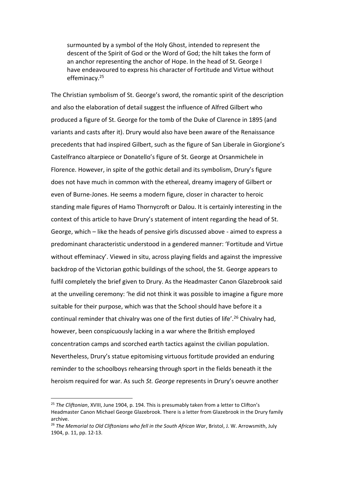surmounted by a symbol of the Holy Ghost, intended to represent the descent of the Spirit of God or the Word of God; the hilt takes the form of an anchor representing the anchor of Hope. In the head of St. George I have endeavoured to express his character of Fortitude and Virtue without effeminacy.<sup>25</sup>

The Christian symbolism of St. George's sword, the romantic spirit of the description and also the elaboration of detail suggest the influence of Alfred Gilbert who produced a figure of St. George for the tomb of the Duke of Clarence in 1895 (and variants and casts after it). Drury would also have been aware of the Renaissance precedents that had inspired Gilbert, such as the figure of San Liberale in Giorgione's Castelfranco altarpiece or Donatello's figure of St. George at Orsanmichele in Florence. However, in spite of the gothic detail and its symbolism, Drury's figure does not have much in common with the ethereal, dreamy imagery of Gilbert or even of Burne-Jones. He seems a modern figure, closer in character to heroic standing male figures of Hamo Thornycroft or Dalou. It is certainly interesting in the context of this article to have Drury's statement of intent regarding the head of St. George, which - like the heads of pensive girls discussed above - aimed to express a predominant characteristic understood in a gendered manner: 'Fortitude and Virtue without effeminacy'. Viewed in situ, across playing fields and against the impressive backdrop of the Victorian gothic buildings of the school, the St. George appears to fulfil completely the brief given to Drury. As the Headmaster Canon Glazebrook said at the unveiling ceremony: 'he did not think it was possible to imagine a figure more suitable for their purpose, which was that the School should have before it a continual reminder that chivalry was one of the first duties of life'.<sup>26</sup> Chivalry had, however, been conspicuously lacking in a war where the British employed concentration camps and scorched earth tactics against the civilian population. Nevertheless, Drury's statue epitomising virtuous fortitude provided an enduring reminder to the schoolboys rehearsing through sport in the fields beneath it the heroism required for war. As such *St. George* represents in Drury's oeuvre another

<sup>&</sup>lt;sup>25</sup> The Cliftonian, XVIII, June 1904, p. 194. This is presumably taken from a letter to Clifton's Headmaster Canon Michael George Glazebrook. There is a letter from Glazebrook in the Drury family archive.

<sup>&</sup>lt;sup>26</sup> The Memorial to Old Cliftonians who fell in the South African War, Bristol, J. W. Arrowsmith, July 1904, p. 11, pp. 12-13.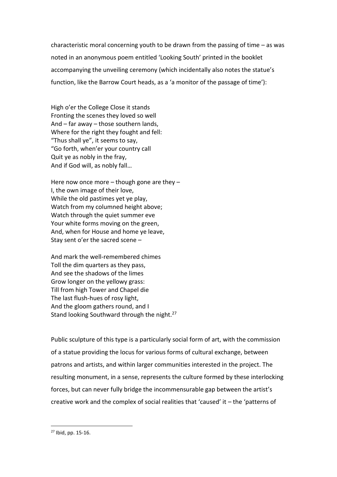characteristic moral concerning youth to be drawn from the passing of time  $-$  as was noted in an anonymous poem entitled 'Looking South' printed in the booklet accompanying the unveiling ceremony (which incidentally also notes the statue's function, like the Barrow Court heads, as a 'a monitor of the passage of time'):

High o'er the College Close it stands Fronting the scenes they loved so well And  $-$  far away  $-$  those southern lands, Where for the right they fought and fell: "Thus shall ye", it seems to say, "Go forth, when'er your country call Quit ye as nobly in the fray, And if God will, as nobly fall...

Here now once more  $-$  though gone are they  $-$ I, the own image of their love, While the old pastimes yet ye play, Watch from my columned height above; Watch through the quiet summer eve Your white forms moving on the green, And, when for House and home ye leave, Stay sent o'er the sacred scene -

And mark the well-remembered chimes Toll the dim quarters as they pass, And see the shadows of the limes Grow longer on the yellowy grass: Till from high Tower and Chapel die The last flush-hues of rosy light, And the gloom gathers round, and I Stand looking Southward through the night.<sup>27</sup>

Public sculpture of this type is a particularly social form of art, with the commission of a statue providing the locus for various forms of cultural exchange, between patrons and artists, and within larger communities interested in the project. The resulting monument, in a sense, represents the culture formed by these interlocking forces, but can never fully bridge the incommensurable gap between the artist's creative work and the complex of social realities that 'caused' it – the 'patterns of

<sup>27</sup> Ibid, pp. 15-16.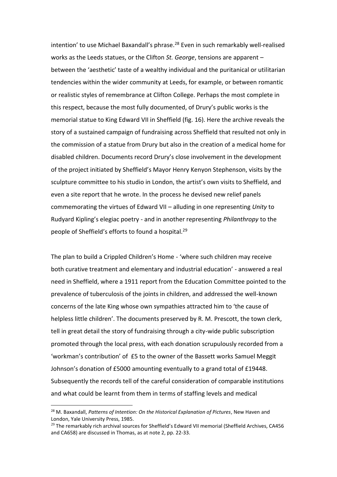intention' to use Michael Baxandall's phrase.<sup>28</sup> Even in such remarkably well-realised works as the Leeds statues, or the Clifton *St. George*, tensions are apparent between the 'aesthetic' taste of a wealthy individual and the puritanical or utilitarian tendencies within the wider community at Leeds, for example, or between romantic or realistic styles of remembrance at Clifton College. Perhaps the most complete in this respect, because the most fully documented, of Drury's public works is the memorial statue to King Edward VII in Sheffield (fig. 16). Here the archive reveals the story of a sustained campaign of fundraising across Sheffield that resulted not only in the commission of a statue from Drury but also in the creation of a medical home for disabled children. Documents record Drury's close involvement in the development of the project initiated by Sheffield's Mayor Henry Kenyon Stephenson, visits by the sculpture committee to his studio in London, the artist's own visits to Sheffield, and even a site report that he wrote. In the process he devised new relief panels commemorating the virtues of Edward VII - alluding in one representing *Unity* to Rudyard Kipling's elegiac poetry - and in another representing *Philanthropy* to the people of Sheffield's efforts to found a hospital.<sup>29</sup>

The plan to build a Crippled Children's Home - 'where such children may receive both curative treatment and elementary and industrial education' - answered a real need in Sheffield, where a 1911 report from the Education Committee pointed to the prevalence of tuberculosis of the joints in children, and addressed the well-known concerns of the late King whose own sympathies attracted him to 'the cause of helpless little children'. The documents preserved by R. M. Prescott, the town clerk, tell in great detail the story of fundraising through a city-wide public subscription promoted through the local press, with each donation scrupulously recorded from a 'workman's contribution' of £5 to the owner of the Bassett works Samuel Meggit Johnson's donation of £5000 amounting eventually to a grand total of £19448. Subsequently the records tell of the careful consideration of comparable institutions and what could be learnt from them in terms of staffing levels and medical

<sup>28</sup> M. Baxandall, *Patterns of Intention: On the Historical Explanation of Pictures*, New Haven and London, Yale University Press, 1985.

<sup>&</sup>lt;sup>29</sup> The remarkably rich archival sources for Sheffield's Edward VII memorial (Sheffield Archives, CA456 and CA658) are discussed in Thomas, as at note 2, pp. 22-33.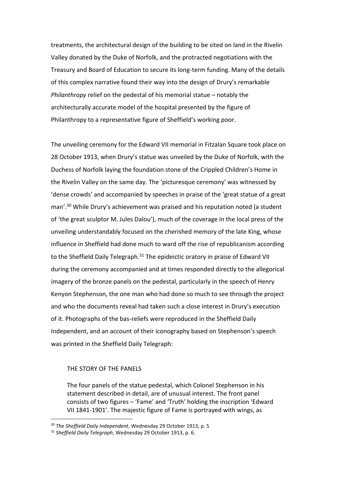treatments, the architectural design of the building to be sited on land in the Rivelin Valley donated by the Duke of Norfolk, and the protracted negotiations with the Treasury and Board of Education to secure its long-term funding. Many of the details of this complex narrative found their way into the design of Drury's remarkable *Philanthropy* relief on the pedestal of his memorial statue – notably the architecturally accurate model of the hospital presented by the figure of Philanthropy to a representative figure of Sheffield's working poor.

The unveiling ceremony for the Edward VII memorial in Fitzalan Square took place on 28 October 1913, when Drury's statue was unveiled by the Duke of Norfolk, with the Duchess of Norfolk laying the foundation stone of the Crippled Children's Home in the Rivelin Valley on the same day. The 'picturesque ceremony' was witnessed by 'dense crowds' and accompanied by speeches in praise of the 'great statue of a great man'.<sup>30</sup> While Drury's achievement was praised and his reputation noted (a student of 'the great sculptor M. Jules Dalou'), much of the coverage in the local press of the unveiling understandably focused on the cherished memory of the late King, whose influence in Sheffield had done much to ward off the rise of republicanism according to the Sheffield Daily Telegraph.<sup>31</sup> The epideictic oratory in praise of Edward VII during the ceremony accompanied and at times responded directly to the allegorical imagery of the bronze panels on the pedestal, particularly in the speech of Henry Kenyon Stephenson, the one man who had done so much to see through the project and who the documents reveal had taken such a close interest in Drury's execution of it. Photographs of the bas-reliefs were reproduced in the Sheffield Daily Independent, and an account of their iconography based on Stephenson's speech was printed in the Sheffield Daily Telegraph:

#### THE STORY OF THE PANELS

 $\overline{a}$ 

The four panels of the statue pedestal, which Colonel Stephenson in his statement described in detail, are of unusual interest. The front panel consists of two figures – 'Fame' and 'Truth' holding the inscription 'Edward VII 1841-1901'. The majestic figure of Fame is portrayed with wings, as

<sup>30</sup> *The Sheffield Daily Independent*, Wednesday 29 October 1913, p. 5

<sup>31</sup> *Sheffield Daily Telegraph*, Wednesday 29 October 1913, p. 6.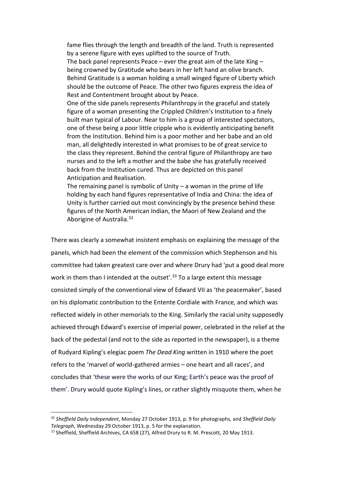fame flies through the length and breadth of the land. Truth is represented by a serene figure with eyes uplifted to the source of Truth.

The back panel represents Peace  $-$  ever the great aim of the late King  $$ being crowned by Gratitude who bears in her left hand an olive branch. Behind Gratitude is a woman holding a small winged figure of Liberty which should be the outcome of Peace. The other two figures express the idea of Rest and Contentment brought about by Peace.

One of the side panels represents Philanthropy in the graceful and stately figure of a woman presenting the Crippled Children's Institution to a finely built man typical of Labour. Near to him is a group of interested spectators, one of these being a poor little cripple who is evidently anticipating benefit from the Institution. Behind him is a poor mother and her babe and an old man, all delightedly interested in what promises to be of great service to the class they represent. Behind the central figure of Philanthropy are two nurses and to the left a mother and the babe she has gratefully received back from the Institution cured. Thus are depicted on this panel Anticipation and Realisation.

The remaining panel is symbolic of Unity  $-$  a woman in the prime of life holding by each hand figures representative of India and China: the idea of Unity is further carried out most convincingly by the presence behind these figures of the North American Indian, the Maori of New Zealand and the Aborigine of Australia.<sup>32</sup>

There was clearly a somewhat insistent emphasis on explaining the message of the panels, which had been the element of the commission which Stephenson and his committee had taken greatest care over and where Drury had 'put a good deal more work in them than I intended at the outset'.<sup>33</sup> To a large extent this message consisted simply of the conventional view of Edward VII as 'the peacemaker', based on his diplomatic contribution to the Entente Cordiale with France, and which was reflected widely in other memorials to the King. Similarly the racial unity supposedly achieved through Edward's exercise of imperial power, celebrated in the relief at the back of the pedestal (and not to the side as reported in the newspaper), is a theme of Rudyard Kipling's elegiac poem The Dead King written in 1910 where the poet refers to the 'marvel of world-gathered armies - one heart and all races', and concludes that 'these were the works of our King; Earth's peace was the proof of them'. Drury would quote Kipling's lines, or rather slightly misquote them, when he

l

<sup>32</sup> *Sheffield Daily Independent*, Monday 27 October 1913, p. 9 for photographs, and *Sheffield Daily Telegraph*, Wednesday 29 October 1913, p. 5 for the explanation.

<sup>&</sup>lt;sup>33</sup> Sheffield, Sheffield Archives, CA 658 (27), Alfred Drury to R. M. Prescott, 20 May 1913.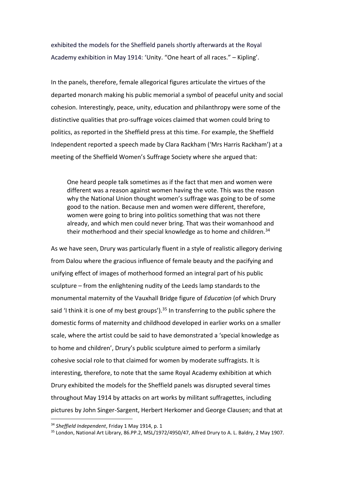exhibited the models for the Sheffield panels shortly afterwards at the Royal Academy exhibition in May 1914: 'Unity. "One heart of all races." - Kipling'.

In the panels, therefore, female allegorical figures articulate the virtues of the departed monarch making his public memorial a symbol of peaceful unity and social cohesion. Interestingly, peace, unity, education and philanthropy were some of the distinctive qualities that pro-suffrage voices claimed that women could bring to politics, as reported in the Sheffield press at this time. For example, the Sheffield Independent reported a speech made by Clara Rackham ('Mrs Harris Rackham') at a meeting of the Sheffield Women's Suffrage Society where she argued that:

One heard people talk sometimes as if the fact that men and women were different was a reason against women having the vote. This was the reason why the National Union thought women's suffrage was going to be of some good to the nation. Because men and women were different, therefore, women were going to bring into politics something that was not there already, and which men could never bring. That was their womanhood and their motherhood and their special knowledge as to home and children.<sup>34</sup>

As we have seen, Drury was particularly fluent in a style of realistic allegory deriving from Dalou where the gracious influence of female beauty and the pacifying and unifying effect of images of motherhood formed an integral part of his public sculpture – from the enlightening nudity of the Leeds lamp standards to the monumental maternity of the Vauxhall Bridge figure of *Education* (of which Drury said 'I think it is one of my best groups').<sup>35</sup> In transferring to the public sphere the domestic forms of maternity and childhood developed in earlier works on a smaller scale, where the artist could be said to have demonstrated a 'special knowledge as to home and children', Drury's public sculpture aimed to perform a similarly cohesive social role to that claimed for women by moderate suffragists. It is interesting, therefore, to note that the same Royal Academy exhibition at which Drury exhibited the models for the Sheffield panels was disrupted several times throughout May 1914 by attacks on art works by militant suffragettes, including pictures by John Singer-Sargent, Herbert Herkomer and George Clausen; and that at

<sup>34</sup> *Sheffield Independent*, Friday 1 May 1914, p. 1

<sup>35</sup> London, National Art Library, 86.PP.2, MSL/1972/4950/47, Alfred Drury to A. L. Baldry, 2 May 1907.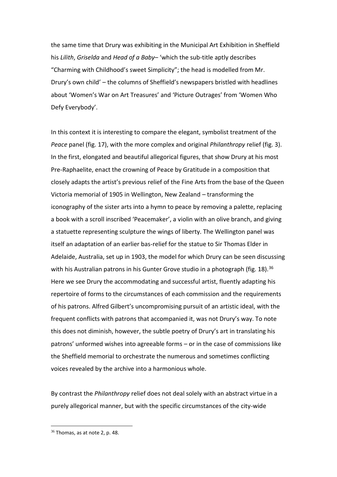the same time that Drury was exhibiting in the Municipal Art Exhibition in Sheffield his Lilith, Griselda and *Head of a Baby*- 'which the sub-title aptly describes "Charming with Childhood's sweet Simplicity"; the head is modelled from Mr. Drury's own child' – the columns of Sheffield's newspapers bristled with headlines about 'Women's War on Art Treasures' and 'Picture Outrages' from 'Women Who Defy Everybody'.

In this context it is interesting to compare the elegant, symbolist treatment of the *Peace* panel (fig. 17), with the more complex and original *Philanthropy* relief (fig. 3). In the first, elongated and beautiful allegorical figures, that show Drury at his most Pre-Raphaelite, enact the crowning of Peace by Gratitude in a composition that closely adapts the artist's previous relief of the Fine Arts from the base of the Queen Victoria memorial of 1905 in Wellington, New Zealand – transforming the iconography of the sister arts into a hymn to peace by removing a palette, replacing a book with a scroll inscribed 'Peacemaker', a violin with an olive branch, and giving a statuette representing sculpture the wings of liberty. The Wellington panel was itself an adaptation of an earlier bas-relief for the statue to Sir Thomas Elder in Adelaide, Australia, set up in 1903, the model for which Drury can be seen discussing with his Australian patrons in his Gunter Grove studio in a photograph (fig. 18).<sup>36</sup> Here we see Drury the accommodating and successful artist, fluently adapting his repertoire of forms to the circumstances of each commission and the requirements of his patrons. Alfred Gilbert's uncompromising pursuit of an artistic ideal, with the frequent conflicts with patrons that accompanied it, was not Drury's way. To note this does not diminish, however, the subtle poetry of Drury's art in translating his patrons' unformed wishes into agreeable forms – or in the case of commissions like the Sheffield memorial to orchestrate the numerous and sometimes conflicting voices revealed by the archive into a harmonious whole.

By contrast the *Philanthropy* relief does not deal solely with an abstract virtue in a purely allegorical manner, but with the specific circumstances of the city-wide

 $36$  Thomas, as at note 2, p. 48.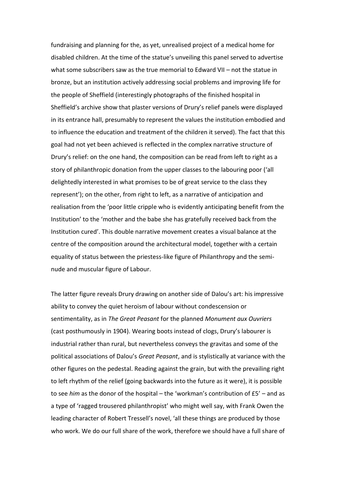fundraising and planning for the, as yet, unrealised project of a medical home for disabled children. At the time of the statue's unveiling this panel served to advertise what some subscribers saw as the true memorial to Edward VII  $-$  not the statue in bronze, but an institution actively addressing social problems and improving life for the people of Sheffield (interestingly photographs of the finished hospital in Sheffield's archive show that plaster versions of Drury's relief panels were displayed in its entrance hall, presumably to represent the values the institution embodied and to influence the education and treatment of the children it served). The fact that this goal had not yet been achieved is reflected in the complex narrative structure of Drury's relief: on the one hand, the composition can be read from left to right as a story of philanthropic donation from the upper classes to the labouring poor ('all delightedly interested in what promises to be of great service to the class they represent'); on the other, from right to left, as a narrative of anticipation and realisation from the 'poor little cripple who is evidently anticipating benefit from the Institution' to the 'mother and the babe she has gratefully received back from the Institution cured'. This double narrative movement creates a visual balance at the centre of the composition around the architectural model, together with a certain equality of status between the priestess-like figure of Philanthropy and the seminude and muscular figure of Labour.

The latter figure reveals Drury drawing on another side of Dalou's art: his impressive ability to convey the quiet heroism of labour without condescension or sentimentality, as in *The Great Peasant* for the planned *Monument aux Ouvriers* (cast posthumously in 1904). Wearing boots instead of clogs, Drury's labourer is industrial rather than rural, but nevertheless conveys the gravitas and some of the political associations of Dalou's Great Peasant, and is stylistically at variance with the other figures on the pedestal. Reading against the grain, but with the prevailing right to left rhythm of the relief (going backwards into the future as it were), it is possible to see *him* as the donor of the hospital – the 'workman's contribution of £5' – and as a type of 'ragged trousered philanthropist' who might well say, with Frank Owen the leading character of Robert Tressell's novel, 'all these things are produced by those who work. We do our full share of the work, therefore we should have a full share of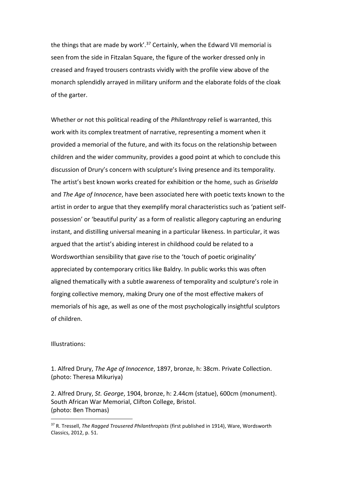the things that are made by work'.<sup>37</sup> Certainly, when the Edward VII memorial is seen from the side in Fitzalan Square, the figure of the worker dressed only in creased and frayed trousers contrasts vividly with the profile view above of the monarch splendidly arrayed in military uniform and the elaborate folds of the cloak of the garter.

Whether or not this political reading of the *Philanthropy* relief is warranted, this work with its complex treatment of narrative, representing a moment when it provided a memorial of the future, and with its focus on the relationship between children and the wider community, provides a good point at which to conclude this discussion of Drury's concern with sculpture's living presence and its temporality. The artist's best known works created for exhibition or the home, such as *Griselda* and *The Age of Innocence*, have been associated here with poetic texts known to the artist in order to argue that they exemplify moral characteristics such as 'patient selfpossession' or 'beautiful purity' as a form of realistic allegory capturing an enduring instant, and distilling universal meaning in a particular likeness. In particular, it was argued that the artist's abiding interest in childhood could be related to a Wordsworthian sensibility that gave rise to the 'touch of poetic originality' appreciated by contemporary critics like Baldry. In public works this was often aligned thematically with a subtle awareness of temporality and sculpture's role in forging collective memory, making Drury one of the most effective makers of memorials of his age, as well as one of the most psychologically insightful sculptors of children.

#### Illustrations:

 $\overline{a}$ 

1. Alfred Drury, *The Age of Innocence*, 1897, bronze, h: 38cm. Private Collection. (photo: Theresa Mikuriya)

2. Alfred Drury, *St. George*, 1904, bronze, h: 2.44cm (statue), 600cm (monument). South African War Memorial, Clifton College, Bristol. (photo: Ben Thomas)

<sup>37</sup> R. Tressell, *The Ragged Trousered Philanthropists* (first published in 1914), Ware, Wordsworth Classics, 2012, p. 51.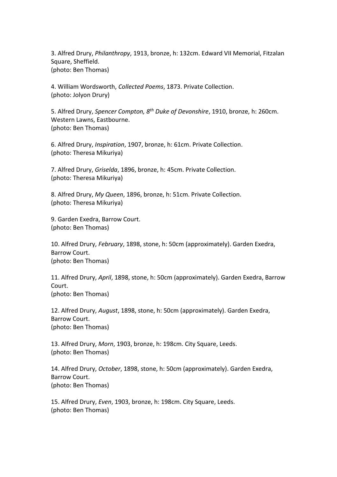3. Alfred Drury, *Philanthropy*, 1913, bronze, h: 132cm. Edward VII Memorial, Fitzalan Square, Sheffield. (photo: Ben Thomas)

4. William Wordsworth, *Collected Poems*, 1873. Private Collection. (photo: Jolyon Drury)

5. Alfred Drury, *Spencer Compton, 8th Duke of Devonshire*, 1910, bronze, h: 260cm. Western Lawns, Eastbourne. (photo: Ben Thomas)

6. Alfred Drury, *Inspiration*, 1907, bronze, h: 61cm. Private Collection. (photo: Theresa Mikuriya)

7. Alfred Drury, *Griselda*, 1896, bronze, h: 45cm. Private Collection. (photo: Theresa Mikuriya)

8. Alfred Drury, *My Queen*, 1896, bronze, h: 51cm. Private Collection. (photo: Theresa Mikuriya)

9. Garden Exedra, Barrow Court. (photo: Ben Thomas)

10. Alfred Drury, *February*, 1898, stone, h: 50cm (approximately). Garden Exedra, Barrow Court. (photo: Ben Thomas)

11. Alfred Drury, *April*, 1898, stone, h: 50cm (approximately). Garden Exedra, Barrow Court. (photo: Ben Thomas)

12. Alfred Drury, *August*, 1898, stone, h: 50cm (approximately). Garden Exedra, Barrow Court. (photo: Ben Thomas)

13. Alfred Drury, *Morn*, 1903, bronze, h: 198cm. City Square, Leeds. (photo: Ben Thomas)

14. Alfred Drury, *October*, 1898, stone, h: 50cm (approximately). Garden Exedra, Barrow Court. (photo: Ben Thomas)

15. Alfred Drury, *Even*, 1903, bronze, h: 198cm. City Square, Leeds. (photo: Ben Thomas)